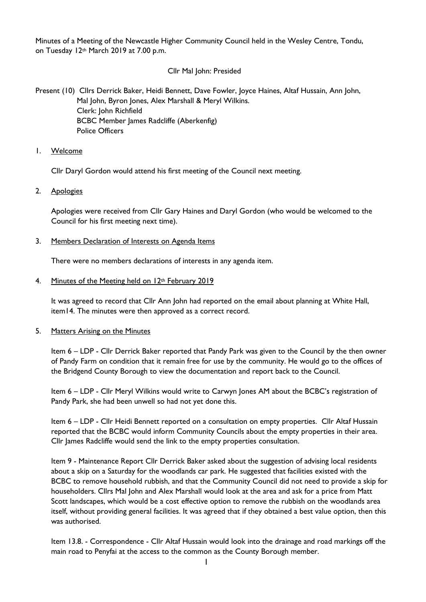Minutes of a Meeting of the Newcastle Higher Community Council held in the Wesley Centre, Tondu, on Tuesday 12th March 2019 at 7.00 p.m.

# Cllr Mal John: Presided

Present (10) Cllrs Derrick Baker, Heidi Bennett, Dave Fowler, Joyce Haines, Altaf Hussain, Ann John, Mal John, Byron Jones, Alex Marshall & Meryl Wilkins. Clerk: John Richfield BCBC Member James Radcliffe (Aberkenfig) Police Officers

1. Welcome

Cllr Daryl Gordon would attend his first meeting of the Council next meeting.

2. Apologies

Apologies were received from Cllr Gary Haines and Daryl Gordon (who would be welcomed to the Council for his first meeting next time).

3. Members Declaration of Interests on Agenda Items

There were no members declarations of interests in any agenda item.

4. Minutes of the Meeting held on 12th February 2019

It was agreed to record that Cllr Ann John had reported on the email about planning at White Hall, item14. The minutes were then approved as a correct record.

5. Matters Arising on the Minutes

Item 6 – LDP - Cllr Derrick Baker reported that Pandy Park was given to the Council by the then owner of Pandy Farm on condition that it remain free for use by the community. He would go to the offices of the Bridgend County Borough to view the documentation and report back to the Council.

Item 6 – LDP - Cllr Meryl Wilkins would write to Carwyn Jones AM about the BCBC's registration of Pandy Park, she had been unwell so had not yet done this.

Item 6 – LDP - Cllr Heidi Bennett reported on a consultation on empty properties. Cllr Altaf Hussain reported that the BCBC would inform Community Councils about the empty properties in their area. Cllr James Radcliffe would send the link to the empty properties consultation.

Item 9 - Maintenance Report Cllr Derrick Baker asked about the suggestion of advising local residents about a skip on a Saturday for the woodlands car park. He suggested that facilities existed with the BCBC to remove household rubbish, and that the Community Council did not need to provide a skip for householders. Cllrs Mal John and Alex Marshall would look at the area and ask for a price from Matt Scott landscapes, which would be a cost effective option to remove the rubbish on the woodlands area itself, without providing general facilities. It was agreed that if they obtained a best value option, then this was authorised.

Item 13.8. - Correspondence - Cllr Altaf Hussain would look into the drainage and road markings off the main road to Penyfai at the access to the common as the County Borough member.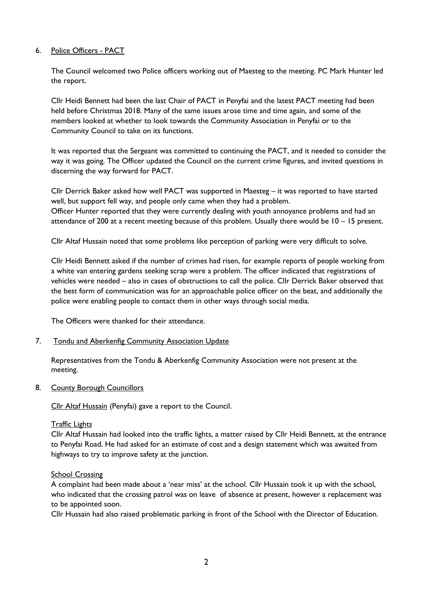## 6. Police Officers - PACT

The Council welcomed two Police officers working out of Maesteg to the meeting. PC Mark Hunter led the report.

Cllr Heidi Bennett had been the last Chair of PACT in Penyfai and the latest PACT meeting had been held before Christmas 2018. Many of the same issues arose time and time again, and some of the members looked at whether to look towards the Community Association in Penyfai or to the Community Council to take on its functions.

It was reported that the Sergeant was committed to continuing the PACT, and it needed to consider the way it was going. The Officer updated the Council on the current crime figures, and invited questions in discerning the way forward for PACT.

Cllr Derrick Baker asked how well PACT was supported in Maesteg – it was reported to have started well, but support fell way, and people only came when they had a problem. Officer Hunter reported that they were currently dealing with youth annoyance problems and had an attendance of 200 at a recent meeting because of this problem. Usually there would be 10 – 15 present.

Cllr Altaf Hussain noted that some problems like perception of parking were very difficult to solve.

Cllr Heidi Bennett asked if the number of crimes had risen, for example reports of people working from a white van entering gardens seeking scrap were a problem. The officer indicated that registrations of vehicles were needed – also in cases of obstructions to call the police. Cllr Derrick Baker observed that the best form of communication was for an approachable police officer on the beat, and additionally the police were enabling people to contact them in other ways through social media.

The Officers were thanked for their attendance.

#### 7. Tondu and Aberkenfig Community Association Update

Representatives from the Tondu & Aberkenfig Community Association were not present at the meeting.

#### 8. County Borough Councillors

Cllr Altaf Hussain (Penyfai) gave a report to the Council.

#### Traffic Lights

Cllr Altaf Hussain had looked into the traffic lights, a matter raised by Cllr Heidi Bennett, at the entrance to Penyfai Road. He had asked for an estimate of cost and a design statement which was awaited from highways to try to improve safety at the junction.

#### School Crossing

A complaint had been made about a 'near miss' at the school. Cllr Hussain took it up with the school, who indicated that the crossing patrol was on leave of absence at present, however a replacement was to be appointed soon.

Cllr Hussain had also raised problematic parking in front of the School with the Director of Education.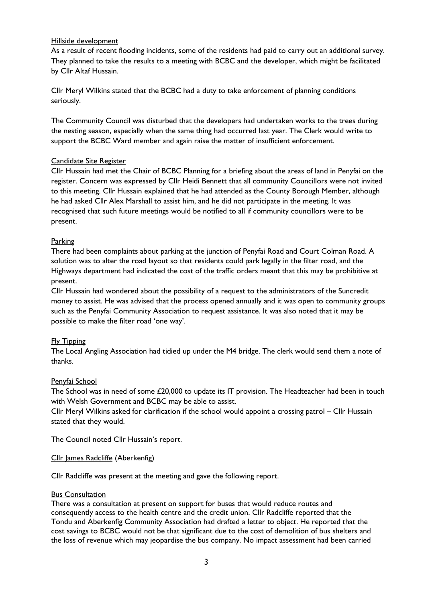### Hillside development

As a result of recent flooding incidents, some of the residents had paid to carry out an additional survey. They planned to take the results to a meeting with BCBC and the developer, which might be facilitated by Cllr Altaf Hussain.

Cllr Meryl Wilkins stated that the BCBC had a duty to take enforcement of planning conditions seriously.

The Community Council was disturbed that the developers had undertaken works to the trees during the nesting season, especially when the same thing had occurred last year. The Clerk would write to support the BCBC Ward member and again raise the matter of insufficient enforcement.

## Candidate Site Register

Cllr Hussain had met the Chair of BCBC Planning for a briefing about the areas of land in Penyfai on the register. Concern was expressed by Cllr Heidi Bennett that all community Councillors were not invited to this meeting. Cllr Hussain explained that he had attended as the County Borough Member, although he had asked Cllr Alex Marshall to assist him, and he did not participate in the meeting. It was recognised that such future meetings would be notified to all if community councillors were to be present.

## Parking

There had been complaints about parking at the junction of Penyfai Road and Court Colman Road. A solution was to alter the road layout so that residents could park legally in the filter road, and the Highways department had indicated the cost of the traffic orders meant that this may be prohibitive at present.

Cllr Hussain had wondered about the possibility of a request to the administrators of the Suncredit money to assist. He was advised that the process opened annually and it was open to community groups such as the Penyfai Community Association to request assistance. It was also noted that it may be possible to make the filter road 'one way'.

## Fly Tipping

The Local Angling Association had tidied up under the M4 bridge. The clerk would send them a note of thanks.

#### Penyfai School

The School was in need of some £20,000 to update its IT provision. The Headteacher had been in touch with Welsh Government and BCBC may be able to assist.

Cllr Meryl Wilkins asked for clarification if the school would appoint a crossing patrol – Cllr Hussain stated that they would.

The Council noted Cllr Hussain's report.

#### Cllr James Radcliffe (Aberkenfig)

Cllr Radcliffe was present at the meeting and gave the following report.

#### **Bus Consultation**

There was a consultation at present on support for buses that would reduce routes and consequently access to the health centre and the credit union. Cllr Radcliffe reported that the Tondu and Aberkenfig Community Association had drafted a letter to object. He reported that the cost savings to BCBC would not be that significant due to the cost of demolition of bus shelters and the loss of revenue which may jeopardise the bus company. No impact assessment had been carried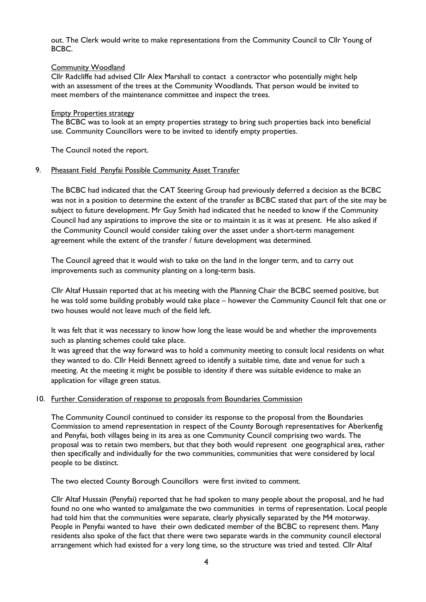out. The Clerk would write to make representations from the Community Council to Cllr Young of BCBC.

#### Community Woodland

Cllr Radcliffe had advised Cllr Alex Marshall to contact a contractor who potentially might help with an assessment of the trees at the Community Woodlands. That person would be invited to meet members of the maintenance committee and inspect the trees.

#### **Empty Properties strategy**

The BCBC was to look at an empty properties strategy to bring such properties back into beneficial use. Community Councillors were to be invited to identify empty properties.

The Council noted the report.

#### 9. Pheasant Field Penyfai Possible Community Asset Transfer

The BCBC had indicated that the CAT Steering Group had previously deferred a decision as the BCBC was not in a position to determine the extent of the transfer as BCBC stated that part of the site may be subject to future development. Mr Guy Smith had indicated that he needed to know if the Community Council had any aspirations to improve the site or to maintain it as it was at present. He also asked if the Community Council would consider taking over the asset under a short-term management agreement while the extent of the transfer / future development was determined.

The Council agreed that it would wish to take on the land in the longer term, and to carry out improvements such as community planting on a long-term basis.

Cllr Altaf Hussain reported that at his meeting with the Planning Chair the BCBC seemed positive, but he was told some building probably would take place – however the Community Council felt that one or two houses would not leave much of the field left.

It was felt that it was necessary to know how long the lease would be and whether the improvements such as planting schemes could take place.

It was agreed that the way forward was to hold a community meeting to consult local residents on what they wanted to do. Cllr Heidi Bennett agreed to identify a suitable time, date and venue for such a meeting. At the meeting it might be possible to identity if there was suitable evidence to make an application for village green status.

#### 10. Further Consideration of response to proposals from Boundaries Commission

The Community Council continued to consider its response to the proposal from the Boundaries Commission to amend representation in respect of the County Borough representatives for Aberkenfig and Penyfai, both villages being in its area as one Community Council comprising two wards. The proposal was to retain two members, but that they both would represent one geographical area, rather then specifically and individually for the two communities, communities that were considered by local people to be distinct.

The two elected County Borough Councillors were first invited to comment.

Cllr Altaf Hussain (Penyfai) reported that he had spoken to many people about the proposal, and he had found no one who wanted to amalgamate the two communities in terms of representation. Local people had told him that the communities were separate, clearly physically separated by the M4 motorway. People in Penyfai wanted to have their own dedicated member of the BCBC to represent them. Many residents also spoke of the fact that there were two separate wards in the community council electoral arrangement which had existed for a very long time, so the structure was tried and tested. Cllr Altaf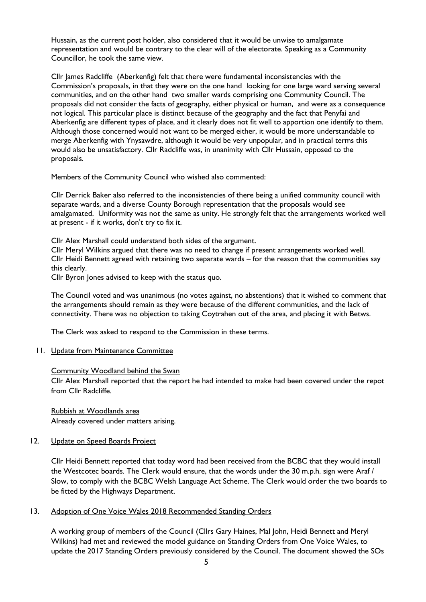Hussain, as the current post holder, also considered that it would be unwise to amalgamate representation and would be contrary to the clear will of the electorate. Speaking as a Community Councillor, he took the same view.

Cllr James Radcliffe (Aberkenfig) felt that there were fundamental inconsistencies with the Commission's proposals, in that they were on the one hand looking for one large ward serving several communities, and on the other hand two smaller wards comprising one Community Council. The proposals did not consider the facts of geography, either physical or human, and were as a consequence not logical. This particular place is distinct because of the geography and the fact that Penyfai and Aberkenfig are different types of place, and it clearly does not fit well to apportion one identify to them. Although those concerned would not want to be merged either, it would be more understandable to merge Aberkenfig with Ynysawdre, although it would be very unpopular, and in practical terms this would also be unsatisfactory. Cllr Radcliffe was, in unanimity with Cllr Hussain, opposed to the proposals.

Members of the Community Council who wished also commented:

Cllr Derrick Baker also referred to the inconsistencies of there being a unified community council with separate wards, and a diverse County Borough representation that the proposals would see amalgamated. Uniformity was not the same as unity. He strongly felt that the arrangements worked well at present - if it works, don't try to fix it.

Cllr Alex Marshall could understand both sides of the argument.

Cllr Meryl Wilkins argued that there was no need to change if present arrangements worked well. Cllr Heidi Bennett agreed with retaining two separate wards – for the reason that the communities say this clearly.

Cllr Byron Jones advised to keep with the status quo.

The Council voted and was unanimous (no votes against, no abstentions) that it wished to comment that the arrangements should remain as they were because of the different communities, and the lack of connectivity. There was no objection to taking Coytrahen out of the area, and placing it with Betws.

The Clerk was asked to respond to the Commission in these terms.

#### 11. Update from Maintenance Committee

#### Community Woodland behind the Swan

Cllr Alex Marshall reported that the report he had intended to make had been covered under the repot from Cllr Radcliffe.

Rubbish at Woodlands area Already covered under matters arising.

#### 12. Update on Speed Boards Project

Cllr Heidi Bennett reported that today word had been received from the BCBC that they would install the Westcotec boards. The Clerk would ensure, that the words under the 30 m.p.h. sign were Araf / Slow, to comply with the BCBC Welsh Language Act Scheme. The Clerk would order the two boards to be fitted by the Highways Department.

## 13. Adoption of One Voice Wales 2018 Recommended Standing Orders

A working group of members of the Council (Cllrs Gary Haines, Mal John, Heidi Bennett and Meryl Wilkins) had met and reviewed the model guidance on Standing Orders from One Voice Wales, to update the 2017 Standing Orders previously considered by the Council. The document showed the SOs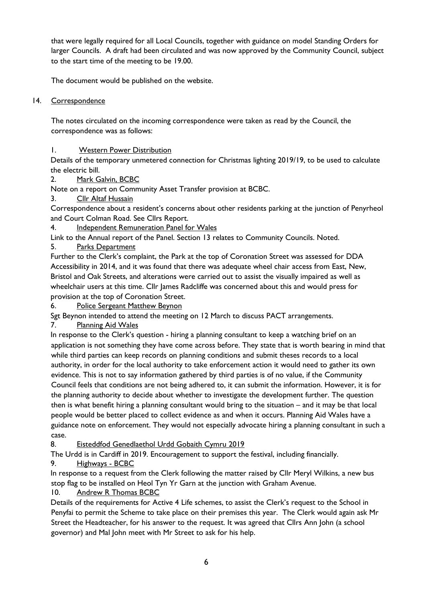that were legally required for all Local Councils, together with guidance on model Standing Orders for larger Councils. A draft had been circulated and was now approved by the Community Council, subject to the start time of the meeting to be 19.00.

The document would be published on the website.

# 14. Correspondence

The notes circulated on the incoming correspondence were taken as read by the Council, the correspondence was as follows:

# 1. Western Power Distribution

Details of the temporary unmetered connection for Christmas lighting 2019/19, to be used to calculate the electric bill.

# 2. Mark Galvin, BCBC

Note on a report on Community Asset Transfer provision at BCBC.

3. Cllr Altaf Hussain

Correspondence about a resident's concerns about other residents parking at the junction of Penyrheol and Court Colman Road. See Cllrs Report.

4. Independent Remuneration Panel for Wales

Link to the Annual report of the Panel. Section 13 relates to Community Councils. Noted. 5. Parks Department

Further to the Clerk's complaint, the Park at the top of Coronation Street was assessed for DDA Accessibility in 2014, and it was found that there was adequate wheel chair access from East, New, Bristol and Oak Streets, and alterations were carried out to assist the visually impaired as well as wheelchair users at this time. Cllr James Radcliffe was concerned about this and would press for provision at the top of Coronation Street.

6. Police Sergeant Matthew Beynon

Sgt Beynon intended to attend the meeting on 12 March to discuss PACT arrangements.

7. Planning Aid Wales

In response to the Clerk's question - hiring a planning consultant to keep a watching brief on an application is not something they have come across before. They state that is worth bearing in mind that while third parties can keep records on planning conditions and submit theses records to a local authority, in order for the local authority to take enforcement action it would need to gather its own evidence. This is not to say information gathered by third parties is of no value, if the Community Council feels that conditions are not being adhered to, it can submit the information. However, it is for the planning authority to decide about whether to investigate the development further. The question then is what benefit hiring a planning consultant would bring to the situation – and it may be that local people would be better placed to collect evidence as and when it occurs. Planning Aid Wales have a guidance note on enforcement. They would not especially advocate hiring a planning consultant in such a case.

8. Eisteddfod Genedlaethol Urdd Gobaith Cymru 2019

The Urdd is in Cardiff in 2019. Encouragement to support the festival, including financially. 9. Highways - BCBC

In response to a request from the Clerk following the matter raised by Cllr Meryl Wilkins, a new bus stop flag to be installed on Heol Tyn Yr Garn at the junction with Graham Avenue.

# 10. Andrew R Thomas BCBC

Details of the requirements for Active 4 Life schemes, to assist the Clerk's request to the School in Penyfai to permit the Scheme to take place on their premises this year. The Clerk would again ask Mr Street the Headteacher, for his answer to the request. It was agreed that Cllrs Ann John (a school governor) and Mal John meet with Mr Street to ask for his help.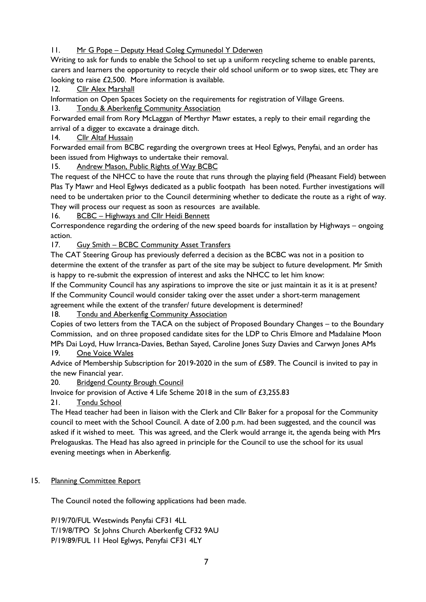# 11. Mr G Pope – Deputy Head Coleg Cymunedol Y Dderwen

Writing to ask for funds to enable the School to set up a uniform recycling scheme to enable parents, carers and learners the opportunity to recycle their old school uniform or to swop sizes, etc They are looking to raise £2,500. More information is available.

12. Cllr Alex Marshall

Information on Open Spaces Society on the requirements for registration of Village Greens.

13. Tondu & Aberkenfig Community Association

Forwarded email from Rory McLaggan of Merthyr Mawr estates, a reply to their email regarding the arrival of a digger to excavate a drainage ditch.

14. Cllr Altaf Hussain

Forwarded email from BCBC regarding the overgrown trees at Heol Eglwys, Penyfai, and an order has been issued from Highways to undertake their removal.

15. Andrew Mason, Public Rights of Way BCBC

The request of the NHCC to have the route that runs through the playing field (Pheasant Field) between Plas Ty Mawr and Heol Eglwys dedicated as a public footpath has been noted. Further investigations will need to be undertaken prior to the Council determining whether to dedicate the route as a right of way. They will process our request as soon as resources are available.

16. BCBC – Highways and Cllr Heidi Bennett

Correspondence regarding the ordering of the new speed boards for installation by Highways – ongoing action.

17. Guy Smith – BCBC Community Asset Transfers

The CAT Steering Group has previously deferred a decision as the BCBC was not in a position to determine the extent of the transfer as part of the site may be subject to future development. Mr Smith is happy to re-submit the expression of interest and asks the NHCC to let him know:

If the Community Council has any aspirations to improve the site or just maintain it as it is at present? If the Community Council would consider taking over the asset under a short-term management agreement while the extent of the transfer/ future development is determined?

18. Tondu and Aberkenfig Community Association

Copies of two letters from the TACA on the subject of Proposed Boundary Changes – to the Boundary Commission, and on three proposed candidate sites for the LDP to Chris Elmore and Madalaine Moon MPs Dai Loyd, Huw Irranca-Davies, Bethan Sayed, Caroline Jones Suzy Davies and Carwyn Jones AMs 19. One Voice Wales

Advice of Membership Subscription for 2019-2020 in the sum of £589. The Council is invited to pay in the new Financial year.

20. Bridgend County Brough Council

Invoice for provision of Active 4 Life Scheme 2018 in the sum of £3,255.83

21. Tondu School

The Head teacher had been in liaison with the Clerk and Cllr Baker for a proposal for the Community council to meet with the School Council. A date of 2.00 p.m. had been suggested, and the council was asked if it wished to meet. This was agreed, and the Clerk would arrange it, the agenda being with Mrs Prelogauskas. The Head has also agreed in principle for the Council to use the school for its usual evening meetings when in Aberkenfig.

# 15. Planning Committee Report

The Council noted the following applications had been made.

P/19/70/FUL Westwinds Penyfai CF31 4LL T/19/8/TPO St Johns Church Aberkenfig CF32 9AU P/19/89/FUL 11 Heol Eglwys, Penyfai CF31 4LY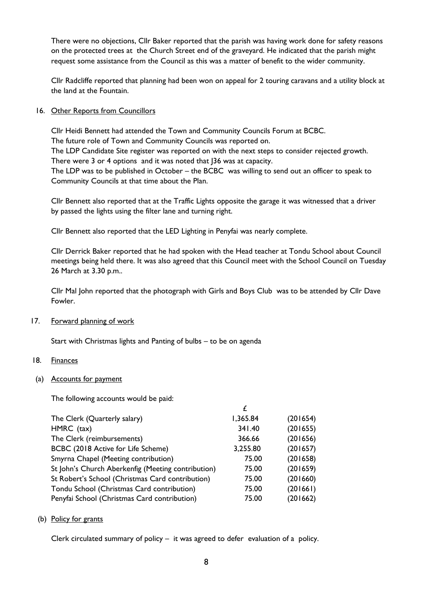There were no objections, Cllr Baker reported that the parish was having work done for safety reasons on the protected trees at the Church Street end of the graveyard. He indicated that the parish might request some assistance from the Council as this was a matter of benefit to the wider community.

Cllr Radcliffe reported that planning had been won on appeal for 2 touring caravans and a utility block at the land at the Fountain.

## 16. Other Reports from Councillors

Cllr Heidi Bennett had attended the Town and Community Councils Forum at BCBC. The future role of Town and Community Councils was reported on. The LDP Candidate Site register was reported on with the next steps to consider rejected growth. There were 3 or 4 options and it was noted that J36 was at capacity. The LDP was to be published in October – the BCBC was willing to send out an officer to speak to Community Councils at that time about the Plan.

Cllr Bennett also reported that at the Traffic Lights opposite the garage it was witnessed that a driver by passed the lights using the filter lane and turning right.

Cllr Bennett also reported that the LED Lighting in Penyfai was nearly complete.

Cllr Derrick Baker reported that he had spoken with the Head teacher at Tondu School about Council meetings being held there. It was also agreed that this Council meet with the School Council on Tuesday 26 March at 3.30 p.m..

Cllr Mal John reported that the photograph with Girls and Boys Club was to be attended by Cllr Dave Fowler.

#### 17. Forward planning of work

Start with Christmas lights and Panting of bulbs – to be on agenda

#### 18. Finances

(a) Accounts for payment

The following accounts would be paid:

| £        |          |
|----------|----------|
| 1,365.84 | (201654) |
| 341.40   | (201655) |
| 366.66   | (201656) |
| 3,255.80 | (201657) |
| 75.00    | (201658) |
| 75.00    | (201659) |
| 75.00    | (201660) |
| 75.00    | (201661) |
| 75.00    | (201662) |
|          |          |

(b) Policy for grants

Clerk circulated summary of policy – it was agreed to defer evaluation of a policy.